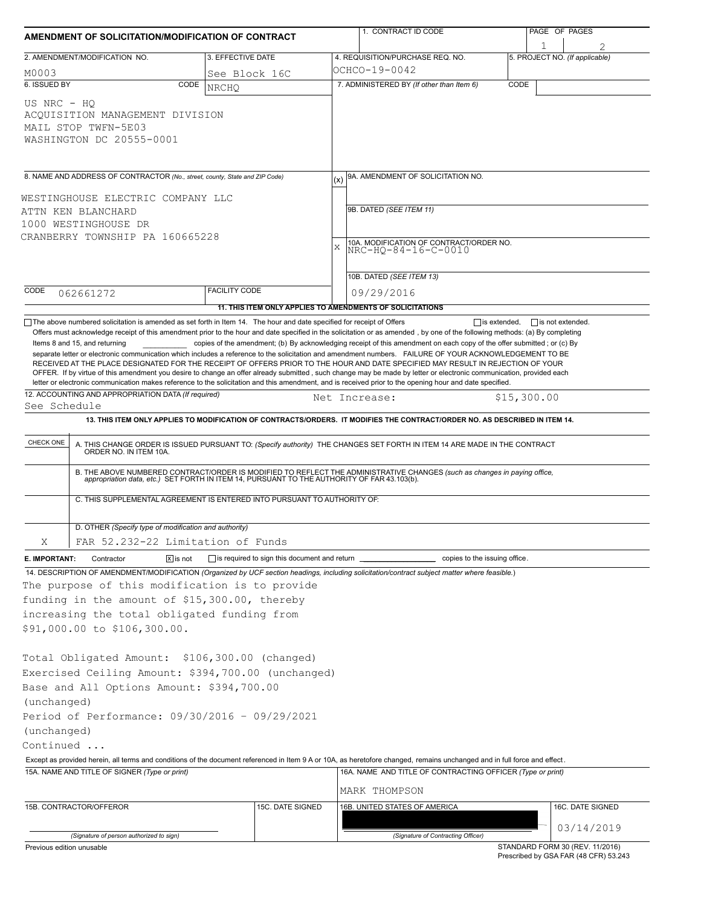| 3. EFFECTIVE DATE<br>4. REQUISITION/PURCHASE REQ. NO.<br>5. PROJECT NO. (If applicable)<br>OCHCO-19-0042<br>M0003<br>See Block 16C<br>7. ADMINISTERED BY (If other than Item 6)<br>CODE<br>CODE<br><b>NRCHO</b><br>ACQUISITION MANAGEMENT DIVISION<br>8. NAME AND ADDRESS OF CONTRACTOR (No., street, county, State and ZIP Code)<br>9A. AMENDMENT OF SOLICITATION NO.<br>9B. DATED (SEE ITEM 11)<br>10A. MODIFICATION OF CONTRACT/ORDER NO.<br>$\bar{x}$<br>NRC-HQ-84-16-C-0010<br>10B. DATED (SEE ITEM 13)<br>CODE<br><b>FACILITY CODE</b><br>09/29/2016<br>062661272<br>11. THIS ITEM ONLY APPLIES TO AMENDMENTS OF SOLICITATIONS<br>The above numbered solicitation is amended as set forth in Item 14. The hour and date specified for receipt of Offers<br>$\Box$ is extended, $\Box$ is not extended.<br>Offers must acknowledge receipt of this amendment prior to the hour and date specified in the solicitation or as amended, by one of the following methods: (a) By completing<br>copies of the amendment; (b) By acknowledging receipt of this amendment on each copy of the offer submitted; or (c) By<br>Items 8 and 15, and returning<br>separate letter or electronic communication which includes a reference to the solicitation and amendment numbers. FAILURE OF YOUR ACKNOWLEDGEMENT TO BE<br>RECEIVED AT THE PLACE DESIGNATED FOR THE RECEIPT OF OFFERS PRIOR TO THE HOUR AND DATE SPECIFIED MAY RESULT IN REJECTION OF YOUR<br>OFFER. If by virtue of this amendment you desire to change an offer already submitted, such change may be made by letter or electronic communication, provided each<br>letter or electronic communication makes reference to the solicitation and this amendment, and is received prior to the opening hour and date specified.<br>12. ACCOUNTING AND APPROPRIATION DATA (If required)<br>\$15,300.00<br>Net Increase:<br>See Schedule<br>13. THIS ITEM ONLY APPLIES TO MODIFICATION OF CONTRACTS/ORDERS. IT MODIFIES THE CONTRACT/ORDER NO. AS DESCRIBED IN ITEM 14.<br>CHECK ONE<br>A. THIS CHANGE ORDER IS ISSUED PURSUANT TO: (Specify authority) THE CHANGES SET FORTH IN ITEM 14 ARE MADE IN THE CONTRACT ORDER NO. IN ITEM 10A.<br>B. THE ABOVE NUMBERED CONTRACT/ORDER IS MODIFIED TO REFLECT THE ADMINISTRATIVE CHANGES (such as changes in paying office,<br>appropriation data, etc.) SET FORTH IN ITEM 14, PURSUANT TO THE AUTHORITY OF FAR 43.103(b).<br>C. THIS SUPPLEMENTAL AGREEMENT IS ENTERED INTO PURSUANT TO AUTHORITY OF:<br>D. OTHER (Specify type of modification and authority)<br>Χ<br>FAR 52.232-22 Limitation of Funds<br>is required to sign this document and return<br>$\sqrt{x}$ is not<br>copies to the issuing office.<br>Contractor<br>14. DESCRIPTION OF AMENDMENT/MODIFICATION (Organized by UCF section headings, including solicitation/contract subject matter where feasible.)<br>The purpose of this modification is to provide<br>funding in the amount of \$15,300.00, thereby<br>increasing the total obligated funding from<br>Total Obligated Amount: \$106,300.00 (changed)<br>Exercised Ceiling Amount: \$394,700.00 (unchanged)<br>Base and All Options Amount: \$394,700.00<br>(unchanged)<br>Period of Performance: 09/30/2016 - 09/29/2021<br>Except as provided herein, all terms and conditions of the document referenced in Item 9 A or 10A, as heretofore changed, remains unchanged and in full force and effect.<br>16A. NAME AND TITLE OF CONTRACTING OFFICER (Type or print)<br>MARK THOMPSON<br>16B. UNITED STATES OF AMERICA<br>15C. DATE SIGNED<br>16C. DATE SIGNED<br>03/14/2019<br>(Signature of Contracting Officer)<br>(Signature of person authorized to sign)<br>STANDARD FORM 30 (REV. 11/2016) | AMENDMENT OF SOLICITATION/MODIFICATION OF CONTRACT                            |  | 1. CONTRACT ID CODE |  |  | PAGE OF PAGES |  |  |  |  |
|---------------------------------------------------------------------------------------------------------------------------------------------------------------------------------------------------------------------------------------------------------------------------------------------------------------------------------------------------------------------------------------------------------------------------------------------------------------------------------------------------------------------------------------------------------------------------------------------------------------------------------------------------------------------------------------------------------------------------------------------------------------------------------------------------------------------------------------------------------------------------------------------------------------------------------------------------------------------------------------------------------------------------------------------------------------------------------------------------------------------------------------------------------------------------------------------------------------------------------------------------------------------------------------------------------------------------------------------------------------------------------------------------------------------------------------------------------------------------------------------------------------------------------------------------------------------------------------------------------------------------------------------------------------------------------------------------------------------------------------------------------------------------------------------------------------------------------------------------------------------------------------------------------------------------------------------------------------------------------------------------------------------------------------------------------------------------------------------------------------------------------------------------------------------------------------------------------------------------------------------------------------------------------------------------------------------------------------------------------------------------------------------------------------------------------------------------------------------------------------------------------------------------------------------------------------------------------------------------------------------------------------------------------------------------------------------------------------------------------------------------------------------------------------------------------------------------------------------------------------------------------------------------------------------------------------------------------------------------------------------------------------------------------------------------------------------------------------------------------------------------------------------------------------------------------------------------------------------------------------------------------------------------------------------------------------------------------------------------------------------------------------------------------------------------------------------------------------------------------------------------------------------------------------------------------------------------------------------------------------------------------------------------------------------------------------------------------------------------------|-------------------------------------------------------------------------------|--|---------------------|--|--|---------------|--|--|--|--|
|                                                                                                                                                                                                                                                                                                                                                                                                                                                                                                                                                                                                                                                                                                                                                                                                                                                                                                                                                                                                                                                                                                                                                                                                                                                                                                                                                                                                                                                                                                                                                                                                                                                                                                                                                                                                                                                                                                                                                                                                                                                                                                                                                                                                                                                                                                                                                                                                                                                                                                                                                                                                                                                                                                                                                                                                                                                                                                                                                                                                                                                                                                                                                                                                                                                                                                                                                                                                                                                                                                                                                                                                                                                                                                                                 | 2. AMENDMENT/MODIFICATION NO.                                                 |  |                     |  |  |               |  |  |  |  |
|                                                                                                                                                                                                                                                                                                                                                                                                                                                                                                                                                                                                                                                                                                                                                                                                                                                                                                                                                                                                                                                                                                                                                                                                                                                                                                                                                                                                                                                                                                                                                                                                                                                                                                                                                                                                                                                                                                                                                                                                                                                                                                                                                                                                                                                                                                                                                                                                                                                                                                                                                                                                                                                                                                                                                                                                                                                                                                                                                                                                                                                                                                                                                                                                                                                                                                                                                                                                                                                                                                                                                                                                                                                                                                                                 |                                                                               |  |                     |  |  |               |  |  |  |  |
|                                                                                                                                                                                                                                                                                                                                                                                                                                                                                                                                                                                                                                                                                                                                                                                                                                                                                                                                                                                                                                                                                                                                                                                                                                                                                                                                                                                                                                                                                                                                                                                                                                                                                                                                                                                                                                                                                                                                                                                                                                                                                                                                                                                                                                                                                                                                                                                                                                                                                                                                                                                                                                                                                                                                                                                                                                                                                                                                                                                                                                                                                                                                                                                                                                                                                                                                                                                                                                                                                                                                                                                                                                                                                                                                 | 6. ISSUED BY                                                                  |  |                     |  |  |               |  |  |  |  |
|                                                                                                                                                                                                                                                                                                                                                                                                                                                                                                                                                                                                                                                                                                                                                                                                                                                                                                                                                                                                                                                                                                                                                                                                                                                                                                                                                                                                                                                                                                                                                                                                                                                                                                                                                                                                                                                                                                                                                                                                                                                                                                                                                                                                                                                                                                                                                                                                                                                                                                                                                                                                                                                                                                                                                                                                                                                                                                                                                                                                                                                                                                                                                                                                                                                                                                                                                                                                                                                                                                                                                                                                                                                                                                                                 | US NRC - HO<br>MAIL STOP TWFN-5E03<br>WASHINGTON DC 20555-0001                |  |                     |  |  |               |  |  |  |  |
|                                                                                                                                                                                                                                                                                                                                                                                                                                                                                                                                                                                                                                                                                                                                                                                                                                                                                                                                                                                                                                                                                                                                                                                                                                                                                                                                                                                                                                                                                                                                                                                                                                                                                                                                                                                                                                                                                                                                                                                                                                                                                                                                                                                                                                                                                                                                                                                                                                                                                                                                                                                                                                                                                                                                                                                                                                                                                                                                                                                                                                                                                                                                                                                                                                                                                                                                                                                                                                                                                                                                                                                                                                                                                                                                 |                                                                               |  |                     |  |  |               |  |  |  |  |
|                                                                                                                                                                                                                                                                                                                                                                                                                                                                                                                                                                                                                                                                                                                                                                                                                                                                                                                                                                                                                                                                                                                                                                                                                                                                                                                                                                                                                                                                                                                                                                                                                                                                                                                                                                                                                                                                                                                                                                                                                                                                                                                                                                                                                                                                                                                                                                                                                                                                                                                                                                                                                                                                                                                                                                                                                                                                                                                                                                                                                                                                                                                                                                                                                                                                                                                                                                                                                                                                                                                                                                                                                                                                                                                                 | WESTINGHOUSE ELECTRIC COMPANY LLC                                             |  |                     |  |  |               |  |  |  |  |
|                                                                                                                                                                                                                                                                                                                                                                                                                                                                                                                                                                                                                                                                                                                                                                                                                                                                                                                                                                                                                                                                                                                                                                                                                                                                                                                                                                                                                                                                                                                                                                                                                                                                                                                                                                                                                                                                                                                                                                                                                                                                                                                                                                                                                                                                                                                                                                                                                                                                                                                                                                                                                                                                                                                                                                                                                                                                                                                                                                                                                                                                                                                                                                                                                                                                                                                                                                                                                                                                                                                                                                                                                                                                                                                                 | ATTN KEN BLANCHARD<br>1000 WESTINGHOUSE DR<br>CRANBERRY TOWNSHIP PA 160665228 |  |                     |  |  |               |  |  |  |  |
|                                                                                                                                                                                                                                                                                                                                                                                                                                                                                                                                                                                                                                                                                                                                                                                                                                                                                                                                                                                                                                                                                                                                                                                                                                                                                                                                                                                                                                                                                                                                                                                                                                                                                                                                                                                                                                                                                                                                                                                                                                                                                                                                                                                                                                                                                                                                                                                                                                                                                                                                                                                                                                                                                                                                                                                                                                                                                                                                                                                                                                                                                                                                                                                                                                                                                                                                                                                                                                                                                                                                                                                                                                                                                                                                 |                                                                               |  |                     |  |  |               |  |  |  |  |
|                                                                                                                                                                                                                                                                                                                                                                                                                                                                                                                                                                                                                                                                                                                                                                                                                                                                                                                                                                                                                                                                                                                                                                                                                                                                                                                                                                                                                                                                                                                                                                                                                                                                                                                                                                                                                                                                                                                                                                                                                                                                                                                                                                                                                                                                                                                                                                                                                                                                                                                                                                                                                                                                                                                                                                                                                                                                                                                                                                                                                                                                                                                                                                                                                                                                                                                                                                                                                                                                                                                                                                                                                                                                                                                                 |                                                                               |  |                     |  |  |               |  |  |  |  |
|                                                                                                                                                                                                                                                                                                                                                                                                                                                                                                                                                                                                                                                                                                                                                                                                                                                                                                                                                                                                                                                                                                                                                                                                                                                                                                                                                                                                                                                                                                                                                                                                                                                                                                                                                                                                                                                                                                                                                                                                                                                                                                                                                                                                                                                                                                                                                                                                                                                                                                                                                                                                                                                                                                                                                                                                                                                                                                                                                                                                                                                                                                                                                                                                                                                                                                                                                                                                                                                                                                                                                                                                                                                                                                                                 |                                                                               |  |                     |  |  |               |  |  |  |  |
|                                                                                                                                                                                                                                                                                                                                                                                                                                                                                                                                                                                                                                                                                                                                                                                                                                                                                                                                                                                                                                                                                                                                                                                                                                                                                                                                                                                                                                                                                                                                                                                                                                                                                                                                                                                                                                                                                                                                                                                                                                                                                                                                                                                                                                                                                                                                                                                                                                                                                                                                                                                                                                                                                                                                                                                                                                                                                                                                                                                                                                                                                                                                                                                                                                                                                                                                                                                                                                                                                                                                                                                                                                                                                                                                 |                                                                               |  |                     |  |  |               |  |  |  |  |
|                                                                                                                                                                                                                                                                                                                                                                                                                                                                                                                                                                                                                                                                                                                                                                                                                                                                                                                                                                                                                                                                                                                                                                                                                                                                                                                                                                                                                                                                                                                                                                                                                                                                                                                                                                                                                                                                                                                                                                                                                                                                                                                                                                                                                                                                                                                                                                                                                                                                                                                                                                                                                                                                                                                                                                                                                                                                                                                                                                                                                                                                                                                                                                                                                                                                                                                                                                                                                                                                                                                                                                                                                                                                                                                                 |                                                                               |  |                     |  |  |               |  |  |  |  |
|                                                                                                                                                                                                                                                                                                                                                                                                                                                                                                                                                                                                                                                                                                                                                                                                                                                                                                                                                                                                                                                                                                                                                                                                                                                                                                                                                                                                                                                                                                                                                                                                                                                                                                                                                                                                                                                                                                                                                                                                                                                                                                                                                                                                                                                                                                                                                                                                                                                                                                                                                                                                                                                                                                                                                                                                                                                                                                                                                                                                                                                                                                                                                                                                                                                                                                                                                                                                                                                                                                                                                                                                                                                                                                                                 |                                                                               |  |                     |  |  |               |  |  |  |  |
|                                                                                                                                                                                                                                                                                                                                                                                                                                                                                                                                                                                                                                                                                                                                                                                                                                                                                                                                                                                                                                                                                                                                                                                                                                                                                                                                                                                                                                                                                                                                                                                                                                                                                                                                                                                                                                                                                                                                                                                                                                                                                                                                                                                                                                                                                                                                                                                                                                                                                                                                                                                                                                                                                                                                                                                                                                                                                                                                                                                                                                                                                                                                                                                                                                                                                                                                                                                                                                                                                                                                                                                                                                                                                                                                 |                                                                               |  |                     |  |  |               |  |  |  |  |
|                                                                                                                                                                                                                                                                                                                                                                                                                                                                                                                                                                                                                                                                                                                                                                                                                                                                                                                                                                                                                                                                                                                                                                                                                                                                                                                                                                                                                                                                                                                                                                                                                                                                                                                                                                                                                                                                                                                                                                                                                                                                                                                                                                                                                                                                                                                                                                                                                                                                                                                                                                                                                                                                                                                                                                                                                                                                                                                                                                                                                                                                                                                                                                                                                                                                                                                                                                                                                                                                                                                                                                                                                                                                                                                                 |                                                                               |  |                     |  |  |               |  |  |  |  |
|                                                                                                                                                                                                                                                                                                                                                                                                                                                                                                                                                                                                                                                                                                                                                                                                                                                                                                                                                                                                                                                                                                                                                                                                                                                                                                                                                                                                                                                                                                                                                                                                                                                                                                                                                                                                                                                                                                                                                                                                                                                                                                                                                                                                                                                                                                                                                                                                                                                                                                                                                                                                                                                                                                                                                                                                                                                                                                                                                                                                                                                                                                                                                                                                                                                                                                                                                                                                                                                                                                                                                                                                                                                                                                                                 |                                                                               |  |                     |  |  |               |  |  |  |  |
|                                                                                                                                                                                                                                                                                                                                                                                                                                                                                                                                                                                                                                                                                                                                                                                                                                                                                                                                                                                                                                                                                                                                                                                                                                                                                                                                                                                                                                                                                                                                                                                                                                                                                                                                                                                                                                                                                                                                                                                                                                                                                                                                                                                                                                                                                                                                                                                                                                                                                                                                                                                                                                                                                                                                                                                                                                                                                                                                                                                                                                                                                                                                                                                                                                                                                                                                                                                                                                                                                                                                                                                                                                                                                                                                 |                                                                               |  |                     |  |  |               |  |  |  |  |
|                                                                                                                                                                                                                                                                                                                                                                                                                                                                                                                                                                                                                                                                                                                                                                                                                                                                                                                                                                                                                                                                                                                                                                                                                                                                                                                                                                                                                                                                                                                                                                                                                                                                                                                                                                                                                                                                                                                                                                                                                                                                                                                                                                                                                                                                                                                                                                                                                                                                                                                                                                                                                                                                                                                                                                                                                                                                                                                                                                                                                                                                                                                                                                                                                                                                                                                                                                                                                                                                                                                                                                                                                                                                                                                                 |                                                                               |  |                     |  |  |               |  |  |  |  |
|                                                                                                                                                                                                                                                                                                                                                                                                                                                                                                                                                                                                                                                                                                                                                                                                                                                                                                                                                                                                                                                                                                                                                                                                                                                                                                                                                                                                                                                                                                                                                                                                                                                                                                                                                                                                                                                                                                                                                                                                                                                                                                                                                                                                                                                                                                                                                                                                                                                                                                                                                                                                                                                                                                                                                                                                                                                                                                                                                                                                                                                                                                                                                                                                                                                                                                                                                                                                                                                                                                                                                                                                                                                                                                                                 |                                                                               |  |                     |  |  |               |  |  |  |  |
|                                                                                                                                                                                                                                                                                                                                                                                                                                                                                                                                                                                                                                                                                                                                                                                                                                                                                                                                                                                                                                                                                                                                                                                                                                                                                                                                                                                                                                                                                                                                                                                                                                                                                                                                                                                                                                                                                                                                                                                                                                                                                                                                                                                                                                                                                                                                                                                                                                                                                                                                                                                                                                                                                                                                                                                                                                                                                                                                                                                                                                                                                                                                                                                                                                                                                                                                                                                                                                                                                                                                                                                                                                                                                                                                 |                                                                               |  |                     |  |  |               |  |  |  |  |
|                                                                                                                                                                                                                                                                                                                                                                                                                                                                                                                                                                                                                                                                                                                                                                                                                                                                                                                                                                                                                                                                                                                                                                                                                                                                                                                                                                                                                                                                                                                                                                                                                                                                                                                                                                                                                                                                                                                                                                                                                                                                                                                                                                                                                                                                                                                                                                                                                                                                                                                                                                                                                                                                                                                                                                                                                                                                                                                                                                                                                                                                                                                                                                                                                                                                                                                                                                                                                                                                                                                                                                                                                                                                                                                                 | E. IMPORTANT:                                                                 |  |                     |  |  |               |  |  |  |  |
|                                                                                                                                                                                                                                                                                                                                                                                                                                                                                                                                                                                                                                                                                                                                                                                                                                                                                                                                                                                                                                                                                                                                                                                                                                                                                                                                                                                                                                                                                                                                                                                                                                                                                                                                                                                                                                                                                                                                                                                                                                                                                                                                                                                                                                                                                                                                                                                                                                                                                                                                                                                                                                                                                                                                                                                                                                                                                                                                                                                                                                                                                                                                                                                                                                                                                                                                                                                                                                                                                                                                                                                                                                                                                                                                 | \$91,000.00 to \$106,300.00.                                                  |  |                     |  |  |               |  |  |  |  |
|                                                                                                                                                                                                                                                                                                                                                                                                                                                                                                                                                                                                                                                                                                                                                                                                                                                                                                                                                                                                                                                                                                                                                                                                                                                                                                                                                                                                                                                                                                                                                                                                                                                                                                                                                                                                                                                                                                                                                                                                                                                                                                                                                                                                                                                                                                                                                                                                                                                                                                                                                                                                                                                                                                                                                                                                                                                                                                                                                                                                                                                                                                                                                                                                                                                                                                                                                                                                                                                                                                                                                                                                                                                                                                                                 |                                                                               |  |                     |  |  |               |  |  |  |  |
|                                                                                                                                                                                                                                                                                                                                                                                                                                                                                                                                                                                                                                                                                                                                                                                                                                                                                                                                                                                                                                                                                                                                                                                                                                                                                                                                                                                                                                                                                                                                                                                                                                                                                                                                                                                                                                                                                                                                                                                                                                                                                                                                                                                                                                                                                                                                                                                                                                                                                                                                                                                                                                                                                                                                                                                                                                                                                                                                                                                                                                                                                                                                                                                                                                                                                                                                                                                                                                                                                                                                                                                                                                                                                                                                 |                                                                               |  |                     |  |  |               |  |  |  |  |
|                                                                                                                                                                                                                                                                                                                                                                                                                                                                                                                                                                                                                                                                                                                                                                                                                                                                                                                                                                                                                                                                                                                                                                                                                                                                                                                                                                                                                                                                                                                                                                                                                                                                                                                                                                                                                                                                                                                                                                                                                                                                                                                                                                                                                                                                                                                                                                                                                                                                                                                                                                                                                                                                                                                                                                                                                                                                                                                                                                                                                                                                                                                                                                                                                                                                                                                                                                                                                                                                                                                                                                                                                                                                                                                                 | (unchanged)                                                                   |  |                     |  |  |               |  |  |  |  |
|                                                                                                                                                                                                                                                                                                                                                                                                                                                                                                                                                                                                                                                                                                                                                                                                                                                                                                                                                                                                                                                                                                                                                                                                                                                                                                                                                                                                                                                                                                                                                                                                                                                                                                                                                                                                                                                                                                                                                                                                                                                                                                                                                                                                                                                                                                                                                                                                                                                                                                                                                                                                                                                                                                                                                                                                                                                                                                                                                                                                                                                                                                                                                                                                                                                                                                                                                                                                                                                                                                                                                                                                                                                                                                                                 | Continued                                                                     |  |                     |  |  |               |  |  |  |  |
|                                                                                                                                                                                                                                                                                                                                                                                                                                                                                                                                                                                                                                                                                                                                                                                                                                                                                                                                                                                                                                                                                                                                                                                                                                                                                                                                                                                                                                                                                                                                                                                                                                                                                                                                                                                                                                                                                                                                                                                                                                                                                                                                                                                                                                                                                                                                                                                                                                                                                                                                                                                                                                                                                                                                                                                                                                                                                                                                                                                                                                                                                                                                                                                                                                                                                                                                                                                                                                                                                                                                                                                                                                                                                                                                 |                                                                               |  |                     |  |  |               |  |  |  |  |
|                                                                                                                                                                                                                                                                                                                                                                                                                                                                                                                                                                                                                                                                                                                                                                                                                                                                                                                                                                                                                                                                                                                                                                                                                                                                                                                                                                                                                                                                                                                                                                                                                                                                                                                                                                                                                                                                                                                                                                                                                                                                                                                                                                                                                                                                                                                                                                                                                                                                                                                                                                                                                                                                                                                                                                                                                                                                                                                                                                                                                                                                                                                                                                                                                                                                                                                                                                                                                                                                                                                                                                                                                                                                                                                                 | 15A. NAME AND TITLE OF SIGNER (Type or print)                                 |  |                     |  |  |               |  |  |  |  |
|                                                                                                                                                                                                                                                                                                                                                                                                                                                                                                                                                                                                                                                                                                                                                                                                                                                                                                                                                                                                                                                                                                                                                                                                                                                                                                                                                                                                                                                                                                                                                                                                                                                                                                                                                                                                                                                                                                                                                                                                                                                                                                                                                                                                                                                                                                                                                                                                                                                                                                                                                                                                                                                                                                                                                                                                                                                                                                                                                                                                                                                                                                                                                                                                                                                                                                                                                                                                                                                                                                                                                                                                                                                                                                                                 |                                                                               |  |                     |  |  |               |  |  |  |  |
|                                                                                                                                                                                                                                                                                                                                                                                                                                                                                                                                                                                                                                                                                                                                                                                                                                                                                                                                                                                                                                                                                                                                                                                                                                                                                                                                                                                                                                                                                                                                                                                                                                                                                                                                                                                                                                                                                                                                                                                                                                                                                                                                                                                                                                                                                                                                                                                                                                                                                                                                                                                                                                                                                                                                                                                                                                                                                                                                                                                                                                                                                                                                                                                                                                                                                                                                                                                                                                                                                                                                                                                                                                                                                                                                 | 15B. CONTRACTOR/OFFEROR                                                       |  |                     |  |  |               |  |  |  |  |
|                                                                                                                                                                                                                                                                                                                                                                                                                                                                                                                                                                                                                                                                                                                                                                                                                                                                                                                                                                                                                                                                                                                                                                                                                                                                                                                                                                                                                                                                                                                                                                                                                                                                                                                                                                                                                                                                                                                                                                                                                                                                                                                                                                                                                                                                                                                                                                                                                                                                                                                                                                                                                                                                                                                                                                                                                                                                                                                                                                                                                                                                                                                                                                                                                                                                                                                                                                                                                                                                                                                                                                                                                                                                                                                                 |                                                                               |  |                     |  |  |               |  |  |  |  |

Prescribed by GSA FAR (48 CFR) 53.243